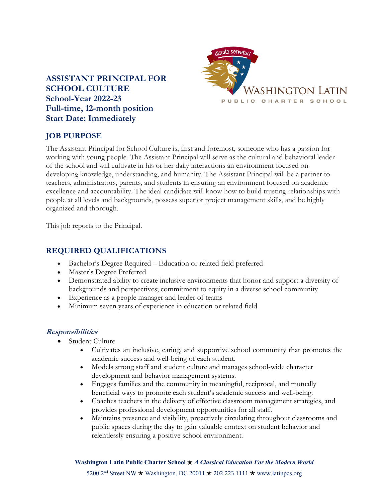# **ASSISTANT PRINCIPAL FOR SCHOOL CULTURE School-Year 2022-23 Full-time, 12-month position Start Date: Immediately**



# **JOB PURPOSE**

The Assistant Principal for School Culture is, first and foremost, someone who has a passion for working with young people. The Assistant Principal will serve as the cultural and behavioral leader of the school and will cultivate in his or her daily interactions an environment focused on developing knowledge, understanding, and humanity. The Assistant Principal will be a partner to teachers, administrators, parents, and students in ensuring an environment focused on academic excellence and accountability. The ideal candidate will know how to build trusting relationships with people at all levels and backgrounds, possess superior project management skills, and be highly organized and thorough.

This job reports to the Principal.

## **REQUIRED QUALIFICATIONS**

- Bachelor's Degree Required Education or related field preferred
- Master's Degree Preferred
- Demonstrated ability to create inclusive environments that honor and support a diversity of backgrounds and perspectives; commitment to equity in a diverse school community
- Experience as a people manager and leader of teams
- Minimum seven years of experience in education or related field

## **Responsibilities**

- Student Culture
	- Cultivates an inclusive, caring, and supportive school community that promotes the academic success and well-being of each student.
	- Models strong staff and student culture and manages school-wide character development and behavior management systems.
	- Engages families and the community in meaningful, reciprocal, and mutually beneficial ways to promote each student's academic success and well-being.
	- Coaches teachers in the delivery of effective classroom management strategies, and provides professional development opportunities for all staff.
	- Maintains presence and visibility, proactively circulating throughout classrooms and public spaces during the day to gain valuable context on student behavior and relentlessly ensuring a positive school environment.

**Washington Latin Public Charter School** !"*A Classical Education For the Modern World* 5200 2<sup>nd</sup> Street NW  $\star$  Washington, DC 20011  $\star$  202.223.1111  $\star$  www.latinpcs.org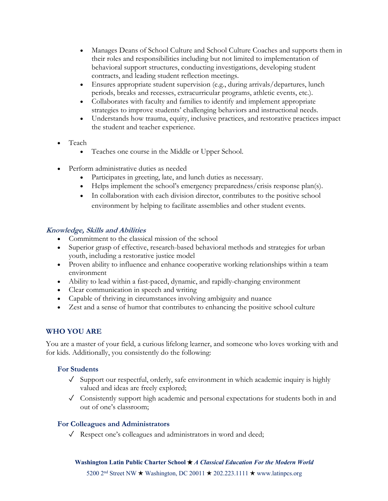- Manages Deans of School Culture and School Culture Coaches and supports them in their roles and responsibilities including but not limited to implementation of behavioral support structures, conducting investigations, developing student contracts, and leading student reflection meetings.
- Ensures appropriate student supervision (e.g., during arrivals/departures, lunch periods, breaks and recesses, extracurricular programs, athletic events, etc.).
- Collaborates with faculty and families to identify and implement appropriate strategies to improve students' challenging behaviors and instructional needs.
- Understands how trauma, equity, inclusive practices, and restorative practices impact the student and teacher experience.
- Teach
	- Teaches one course in the Middle or Upper School.
- Perform administrative duties as needed
	- Participates in greeting, late, and lunch duties as necessary.
	- Helps implement the school's emergency preparedness/crisis response plan(s).
	- In collaboration with each division director, contributes to the positive school environment by helping to facilitate assemblies and other student events.

## **Knowledge, Skills and Abilities**

- Commitment to the classical mission of the school
- Superior grasp of effective, research-based behavioral methods and strategies for urban youth, including a restorative justice model
- Proven ability to influence and enhance cooperative working relationships within a team environment
- Ability to lead within a fast-paced, dynamic, and rapidly-changing environment
- Clear communication in speech and writing
- Capable of thriving in circumstances involving ambiguity and nuance
- Zest and a sense of humor that contributes to enhancing the positive school culture

## **WHO YOU ARE**

You are a master of your field, a curious lifelong learner, and someone who loves working with and for kids. Additionally, you consistently do the following:

## **For Students**

- $\checkmark$  Support our respectful, orderly, safe environment in which academic inquiry is highly valued and ideas are freely explored;
- $\checkmark$  Consistently support high academic and personal expectations for students both in and out of one's classroom;

## **For Colleagues and Administrators**

✓ Respect one's colleagues and administrators in word and deed;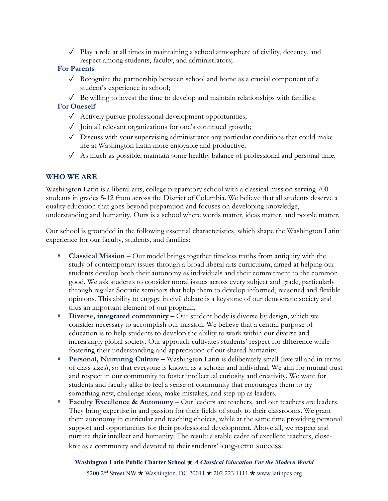$\sqrt{\phantom{a}}$  Play a role at all times in maintaining a school atmosphere of civility, decency, and respect among students, faculty, and administrators;

#### **For Parents**

- $\sqrt{\phantom{a}}$  Recognize the partnership between school and home as a crucial component of a student's experience in school;
- $\checkmark$  Be willing to invest the time to develop and maintain relationships with families;

### **For Oneself**

- $\sqrt{\phantom{a}}$  Actively pursue professional development opportunities;
- $\sqrt{\ }$  Join all relevant organizations for one's continued growth;
- $\sqrt{\phantom{a}}$  Discuss with your supervising administrator any particular conditions that could make life at Washington Latin more enjoyable and productive;
- $\checkmark$  As much as possible, maintain some healthy balance of professional and personal time.

#### **WHO WE ARE**

Washington Latin is a liberal arts, college preparatory school with a classical mission serving 700 students in grades 5-12 from across the District of Columbia. We believe that all students deserve a quality education that goes beyond preparation and focuses on developing knowledge, understanding and humanity. Ours is a school where words matter, ideas matter, and people matter.

Our school is grounded in the following essential characteristics, which shape the Washington Latin experience for our faculty, students, and families:

- **Classical Mission** Our model brings together timeless truths from antiquity with the study of contemporary issues through a broad liberal arts curriculum, aimed at helping our students develop both their autonomy as individuals and their commitment to the common good. We ask students to consider moral issues across every subject and grade, particularly through regular Socratic seminars that help them to develop informed, reasoned and flexible opinions. This ability to engage in civil debate is a keystone of our democratic society and thus an important element of our program.
- **Diverse, integrated community** Our student body is diverse by design, which we consider necessary to accomplish our mission. We believe that a central purpose of education is to help students to develop the ability to work within our diverse and increasingly global society. Our approach cultivates students' respect for difference while fostering their understanding and appreciation of our shared humanity.
- **Personal, Nurturing Culture –** Washington Latin is deliberately small (overall and in terms of class sizes), so that everyone is known as a scholar and individual. We aim for mutual trust and respect in our community to foster intellectual curiosity and creativity. We want for students and faculty alike to feel a sense of community that encourages them to try something new, challenge ideas, make mistakes, and step up as leaders.
- **Faculty Excellence & Autonomy** Our leaders are teachers, and our teachers are leaders. They bring expertise in and passion for their fields of study to their classrooms. We grant them autonomy in curricular and teaching choices, while at the same time providing personal support and opportunities for their professional development. Above all, we respect and nurture their intellect and humanity. The result: a stable cadre of excellent teachers, closeknit as a community and devoted to their students' long-term success.

#### **Washington Latin Public Charter School** !"*A Classical Education For the Modern World*